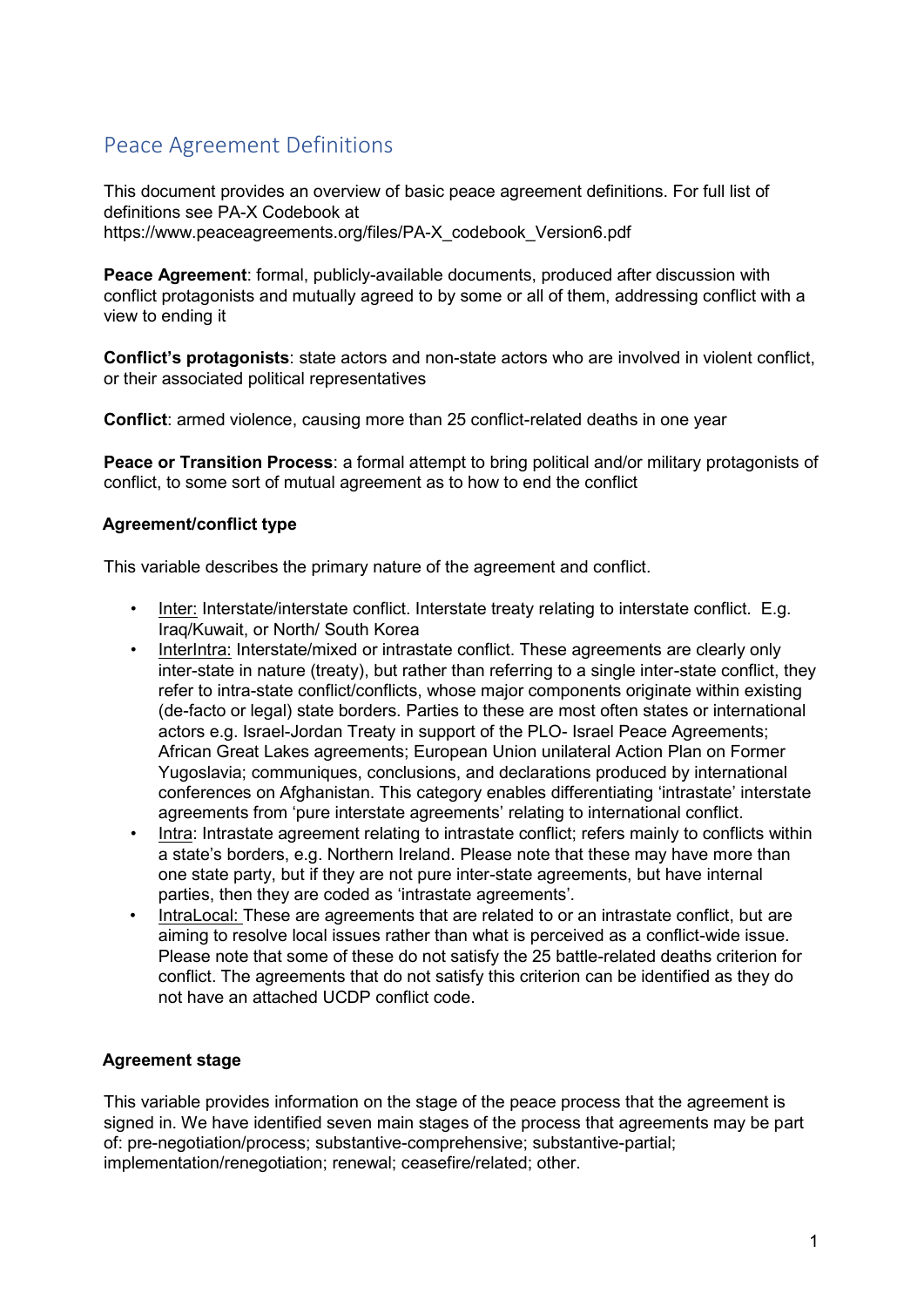## Peace Agreement Definitions

This document provides an overview of basic peace agreement definitions. For full list of definitions see PA-X Codebook at https://www.peaceagreements.org/files/PA-X\_codebook\_Version6.pdf

**Peace Agreement**: formal, publicly-available documents, produced after discussion with conflict protagonists and mutually agreed to by some or all of them, addressing conflict with a view to ending it

**Conflict's protagonists**: state actors and non-state actors who are involved in violent conflict, or their associated political representatives

**Conflict**: armed violence, causing more than 25 conflict-related deaths in one year

**Peace or Transition Process**: a formal attempt to bring political and/or military protagonists of conflict, to some sort of mutual agreement as to how to end the conflict

## **Agreement/conflict type**

This variable describes the primary nature of the agreement and conflict.

- Inter: Interstate/interstate conflict. Interstate treaty relating to interstate conflict. E.g. Iraq/Kuwait, or North/ South Korea
- InterIntra: Interstate/mixed or intrastate conflict. These agreements are clearly only inter-state in nature (treaty), but rather than referring to a single inter-state conflict, they refer to intra-state conflict/conflicts, whose major components originate within existing (de-facto or legal) state borders. Parties to these are most often states or international actors e.g. Israel-Jordan Treaty in support of the PLO- Israel Peace Agreements; African Great Lakes agreements; European Union unilateral Action Plan on Former Yugoslavia; communiques, conclusions, and declarations produced by international conferences on Afghanistan. This category enables differentiating 'intrastate' interstate agreements from 'pure interstate agreements' relating to international conflict.
- Intra: Intrastate agreement relating to intrastate conflict; refers mainly to conflicts within a state's borders, e.g. Northern Ireland. Please note that these may have more than one state party, but if they are not pure inter-state agreements, but have internal parties, then they are coded as 'intrastate agreements'.
- IntraLocal: These are agreements that are related to or an intrastate conflict, but are aiming to resolve local issues rather than what is perceived as a conflict-wide issue. Please note that some of these do not satisfy the 25 battle-related deaths criterion for conflict. The agreements that do not satisfy this criterion can be identified as they do not have an attached UCDP conflict code.

## **Agreement stage**

This variable provides information on the stage of the peace process that the agreement is signed in. We have identified seven main stages of the process that agreements may be part of: pre-negotiation/process; substantive-comprehensive; substantive-partial; implementation/renegotiation; renewal; ceasefire/related; other.